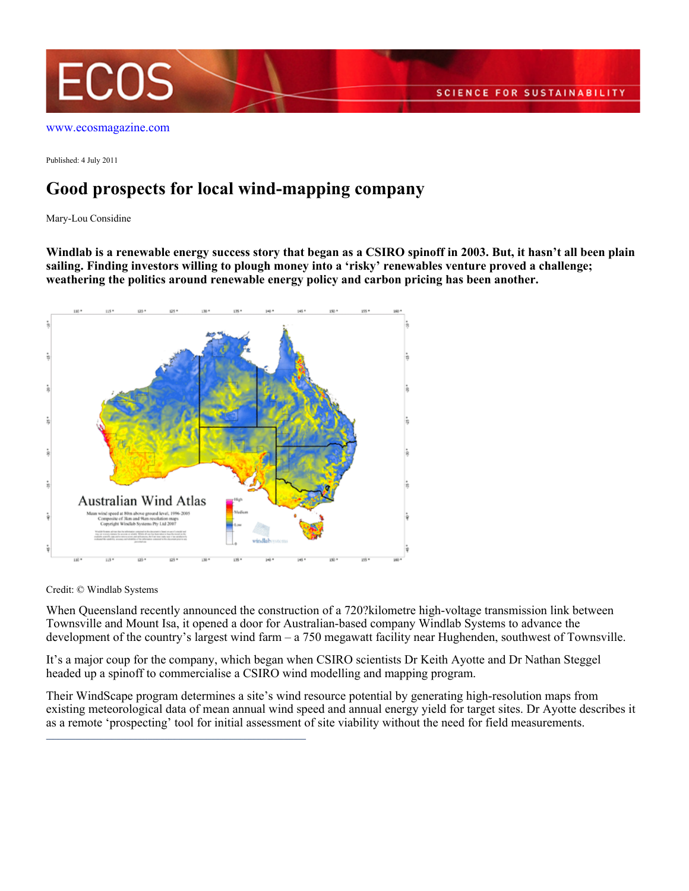

Published: 4 July 2011

## **Good prospects for local wind-mapping company**

Mary-Lou Considine

**Windlab is a renewable energy success story that began as a CSIRO spinoff in 2003. But, it hasn't all been plain sailing. Finding investors willing to plough money into a 'risky' renewables venture proved a challenge; weathering the politics around renewable energy policy and carbon pricing has been another.**



Credit: © Windlab Systems

When Queensland recently announced the construction of a 720?kilometre high-voltage transmission link between Townsville and Mount Isa, it opened a door for Australian-based company Windlab Systems to advance the development of the country's largest wind farm – a 750 megawatt facility near Hughenden, southwest of Townsville.

It's a major coup for the company, which began when CSIRO scientists Dr Keith Ayotte and Dr Nathan Steggel headed up a spinoff to commercialise a CSIRO wind modelling and mapping program.

Their WindScape program determines a site's wind resource potential by generating high-resolution maps from existing meteorological data of mean annual wind speed and annual energy yield for target sites. Dr Ayotte describes it as a remote 'prospecting' tool for initial assessment of site viability without the need for field measurements.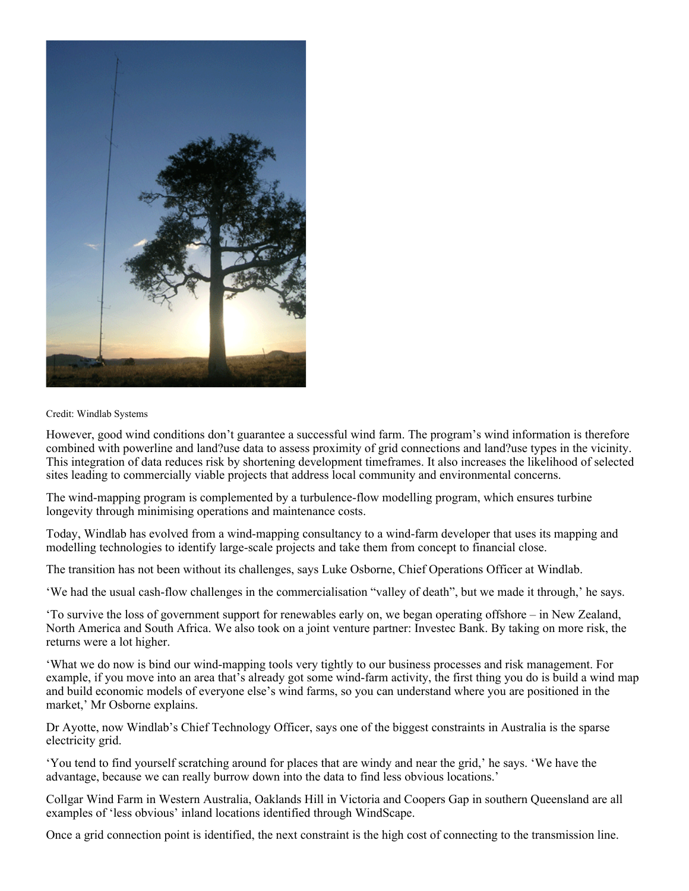

## Credit: Windlab Systems

However, good wind conditions don't guarantee a successful wind farm. The program's wind information is therefore combined with powerline and land?use data to assess proximity of grid connections and land?use types in the vicinity. This integration of data reduces risk by shortening development timeframes. It also increases the likelihood of selected sites leading to commercially viable projects that address local community and environmental concerns.

The wind-mapping program is complemented by a turbulence-flow modelling program, which ensures turbine longevity through minimising operations and maintenance costs.

Today, Windlab has evolved from a wind-mapping consultancy to a wind-farm developer that uses its mapping and modelling technologies to identify large-scale projects and take them from concept to financial close.

The transition has not been without its challenges, says Luke Osborne, Chief Operations Officer at Windlab.

'We had the usual cash-flow challenges in the commercialisation "valley of death", but we made it through,' he says.

'To survive the loss of government support for renewables early on, we began operating offshore – in New Zealand, North America and South Africa. We also took on a joint venture partner: Investec Bank. By taking on more risk, the returns were a lot higher.

'What we do now is bind our wind-mapping tools very tightly to our business processes and risk management. For example, if you move into an area that's already got some wind-farm activity, the first thing you do is build a wind map and build economic models of everyone else's wind farms, so you can understand where you are positioned in the market,' Mr Osborne explains.

Dr Ayotte, now Windlab's Chief Technology Officer, says one of the biggest constraints in Australia is the sparse electricity grid.

'You tend to find yourself scratching around for places that are windy and near the grid,' he says. 'We have the advantage, because we can really burrow down into the data to find less obvious locations.'

Collgar Wind Farm in Western Australia, Oaklands Hill in Victoria and Coopers Gap in southern Queensland are all examples of 'less obvious' inland locations identified through WindScape.

Once a grid connection point is identified, the next constraint is the high cost of connecting to the transmission line.